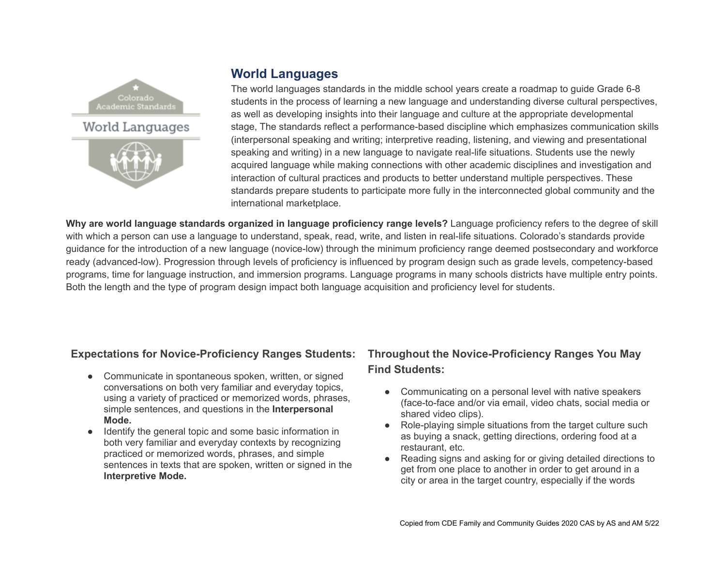

# **World Languages**

The world languages standards in the middle school years create a roadmap to guide Grade 6-8 students in the process of learning a new language and understanding diverse cultural perspectives, as well as developing insights into their language and culture at the appropriate developmental stage, The standards reflect a performance-based discipline which emphasizes communication skills (interpersonal speaking and writing; interpretive reading, listening, and viewing and presentational speaking and writing) in a new language to navigate real-life situations. Students use the newly acquired language while making connections with other academic disciplines and investigation and interaction of cultural practices and products to better understand multiple perspectives. These standards prepare students to participate more fully in the interconnected global community and the international marketplace.

**Why are world language standards organized in language proficiency range levels?** Language proficiency refers to the degree of skill with which a person can use a language to understand, speak, read, write, and listen in real-life situations. Colorado's standards provide guidance for the introduction of a new language (novice-low) through the minimum proficiency range deemed postsecondary and workforce ready (advanced-low). Progression through levels of proficiency is influenced by program design such as grade levels, competency-based programs, time for language instruction, and immersion programs. Language programs in many schools districts have multiple entry points. Both the length and the type of program design impact both language acquisition and proficiency level for students.

#### **Expectations for Novice-Proficiency Ranges Students:**

- Communicate in spontaneous spoken, written, or signed conversations on both very familiar and everyday topics, using a variety of practiced or memorized words, phrases, simple sentences, and questions in the **Interpersonal Mode.**
- Identify the general topic and some basic information in both very familiar and everyday contexts by recognizing practiced or memorized words, phrases, and simple sentences in texts that are spoken, written or signed in the **Interpretive Mode.**

# **Throughout the Novice-Proficiency Ranges You May Find Students:**

- Communicating on a personal level with native speakers (face-to-face and/or via email, video chats, social media or shared video clips).
- Role-playing simple situations from the target culture such as buying a snack, getting directions, ordering food at a restaurant, etc.
- Reading signs and asking for or giving detailed directions to get from one place to another in order to get around in a city or area in the target country, especially if the words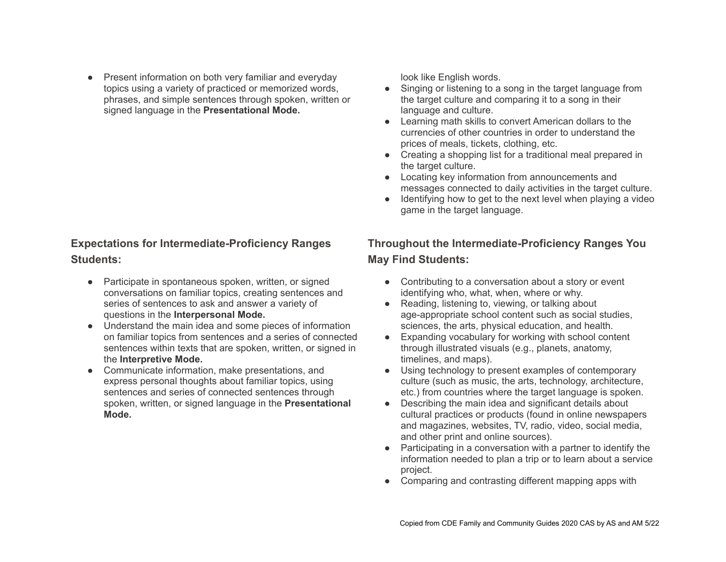• Present information on both very familiar and everyday topics using a variety of practiced or memorized words, phrases, and simple sentences through spoken, written or signed language in the **Presentational Mode.**

#### **Expectations for Intermediate-Proficiency Ranges Students:**

- Participate in spontaneous spoken, written, or signed conversations on familiar topics, creating sentences and series of sentences to ask and answer a variety of questions in the **Interpersonal Mode.**
- Understand the main idea and some pieces of information on familiar topics from sentences and a series of connected sentences within texts that are spoken, written, or signed in the **Interpretive Mode.**
- Communicate information, make presentations, and express personal thoughts about familiar topics, using sentences and series of connected sentences through spoken, written, or signed language in the **Presentational Mode.**

look like English words.

- Singing or listening to a song in the target language from the target culture and comparing it to a song in their language and culture.
- Learning math skills to convert American dollars to the currencies of other countries in order to understand the prices of meals, tickets, clothing, etc.
- Creating a shopping list for a traditional meal prepared in the target culture.
- Locating key information from announcements and messages connected to daily activities in the target culture.
- Identifying how to get to the next level when playing a video game in the target language.

## **Throughout the Intermediate-Proficiency Ranges You May Find Students:**

- Contributing to a conversation about a story or event identifying who, what, when, where or why.
- Reading, listening to, viewing, or talking about age-appropriate school content such as social studies, sciences, the arts, physical education, and health.
- Expanding vocabulary for working with school content through illustrated visuals (e.g., planets, anatomy, timelines, and maps).
- Using technology to present examples of contemporary culture (such as music, the arts, technology, architecture, etc.) from countries where the target language is spoken.
- Describing the main idea and significant details about cultural practices or products (found in online newspapers and magazines, websites, TV, radio, video, social media, and other print and online sources).
- Participating in a conversation with a partner to identify the information needed to plan a trip or to learn about a service project.
- Comparing and contrasting different mapping apps with